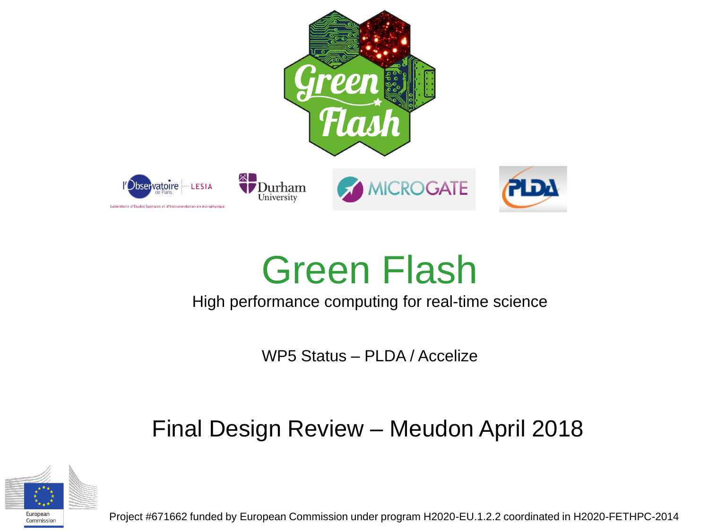

#### Green Flash

#### High performance computing for real-time science

WP5 Status – PLDA / Accelize

#### Final Design Review – Meudon April 2018



Commission

Project #671662 funded by European Commission under program H2020-EU.1.2.2 coordinated in H2020-FETHPC-2014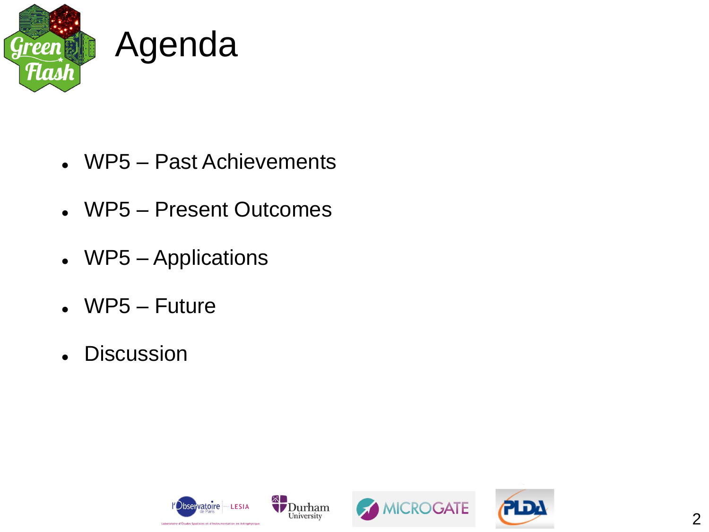

- WP5 Past Achievements
- WP5 Present Outcomes
- WP5 Applications
- WP5 Future
- Discussion

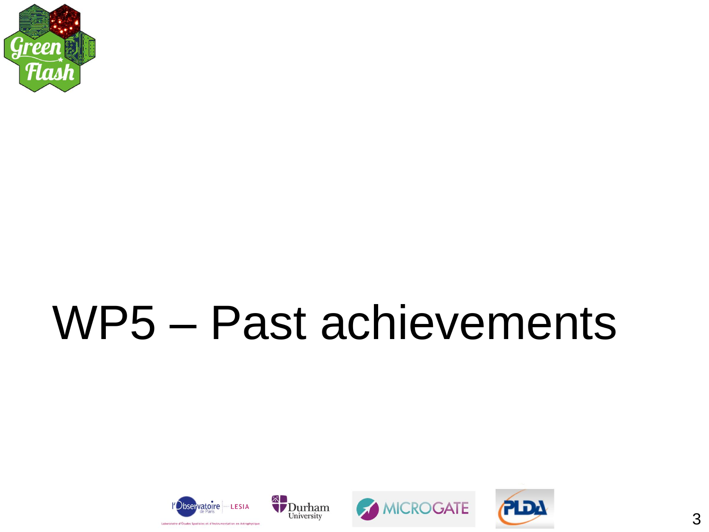

# WP5 - Past achievements





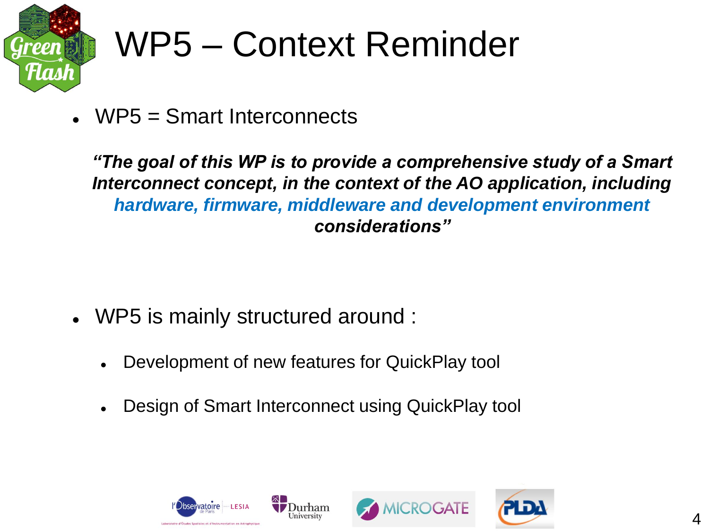

#### WP5 – Context Reminder

WP5 = Smart Interconnects

*"The goal of this WP is to provide a comprehensive study of a Smart Interconnect concept, in the context of the AO application, including hardware, firmware, middleware and development environment considerations"*

- WP5 is mainly structured around :
	- Development of new features for QuickPlay tool
	- Design of Smart Interconnect using QuickPlay tool





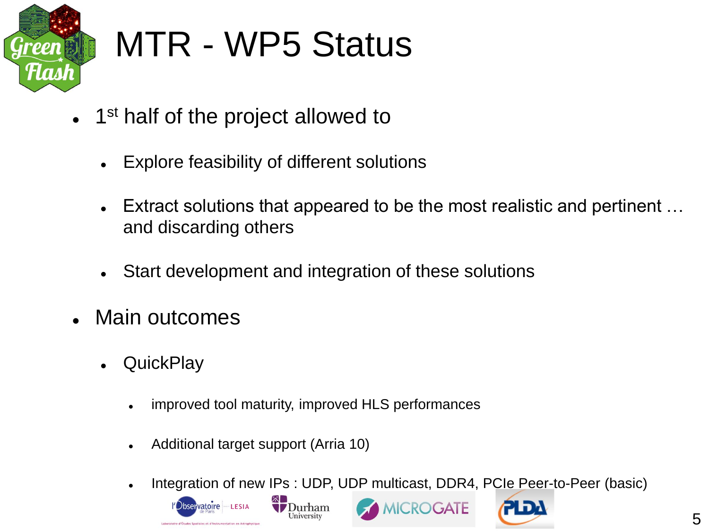

#### MTR - WP5 Status

- 1<sup>st</sup> half of the project allowed to
	- Explore feasibility of different solutions
	- Extract solutions that appeared to be the most realistic and pertinent … and discarding others
	- Start development and integration of these solutions
- Main outcomes
	- **QuickPlay** 
		- improved tool maturity, improved HLS performances
		- Additional target support (Arria 10)
		- Integration of new IPs : UDP, UDP multicast, DDR4, PCIe Peer-to-Peer (basic)

**MICROGATE** 



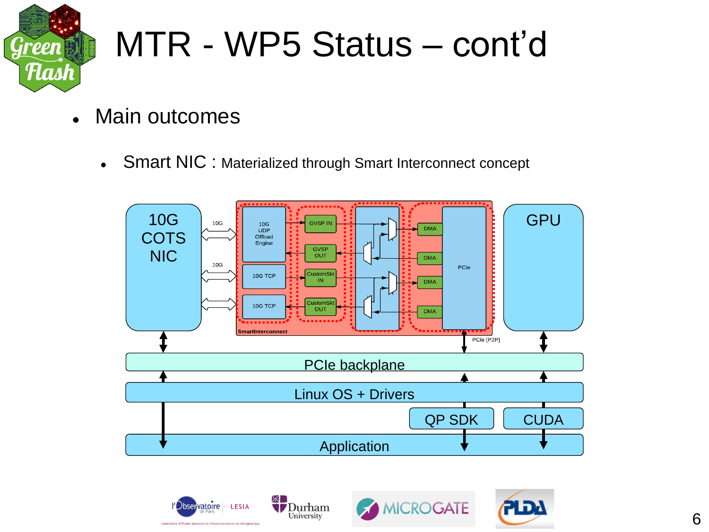

#### MTR - WP5 Status – cont'd

- Main outcomes
	- Smart NIC : Materialized through Smart Interconnect concept







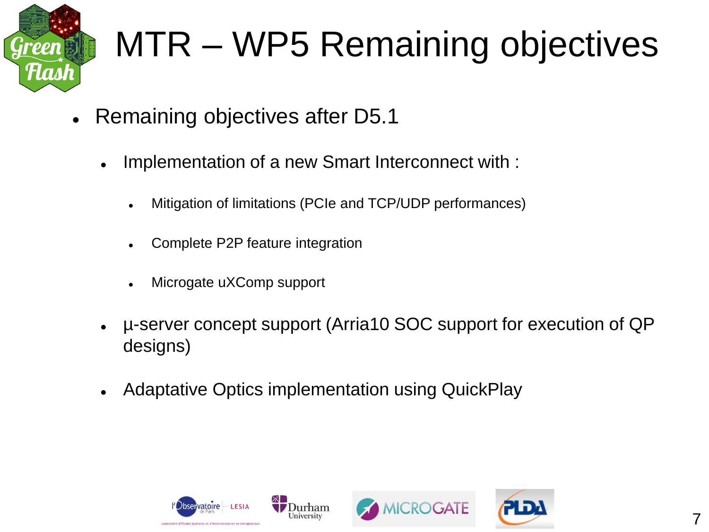

# MTR – WP5 Remaining objectives

- Remaining objectives after D5.1
	- Implementation of a new Smart Interconnect with :
		- Mitigation of limitations (PCIe and TCP/UDP performances)
		- Complete P2P feature integration
		- Microgate uXComp support
	- µ-server concept support (Arria10 SOC support for execution of QP designs)
	- Adaptative Optics implementation using QuickPlay





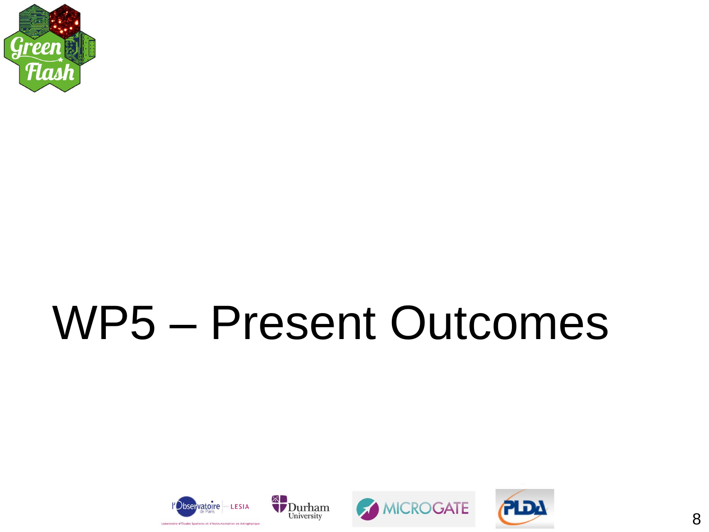

# **WP5 - Present Outcomes**





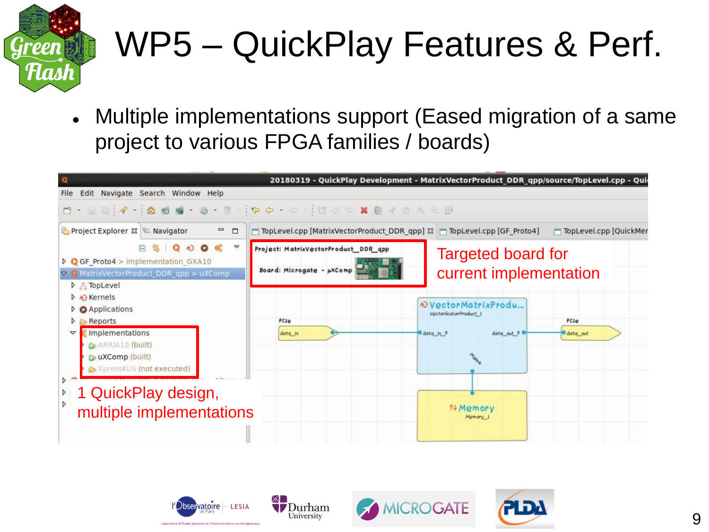

# WP5 – QuickPlay Features & Perf.

 Multiple implementations support (Eased migration of a same project to various FPGA families / boards)



University





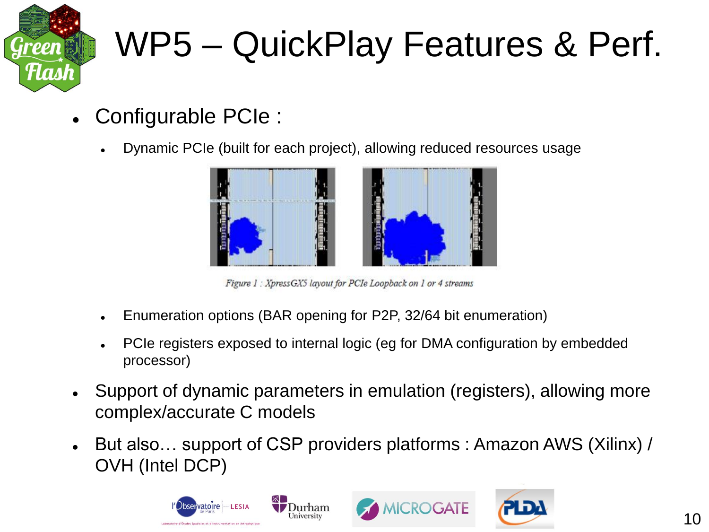

# WP5 – QuickPlay Features & Perf.

- Configurable PCIe :
	- Dynamic PCIe (built for each project), allowing reduced resources usage



Figure 1 : XpressGX5 layout for PCIe Loopback on 1 or 4 streams

- Enumeration options (BAR opening for P2P, 32/64 bit enumeration)
- PCIe registers exposed to internal logic (eg for DMA configuration by embedded processor)
- Support of dynamic parameters in emulation (registers), allowing more complex/accurate C models
- But also… support of CSP providers platforms : Amazon AWS (Xilinx) / OVH (Intel DCP)





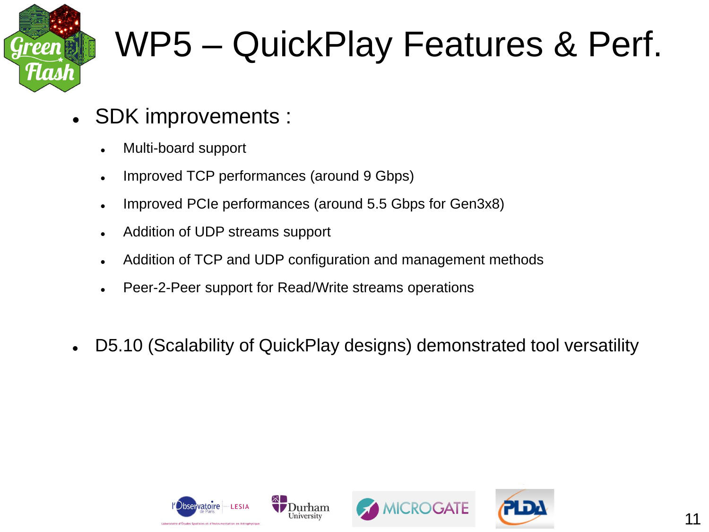

#### WP5 – QuickPlay Features & Perf.

- SDK improvements :
	- Multi-board support
	- Improved TCP performances (around 9 Gbps)
	- Improved PCIe performances (around 5.5 Gbps for Gen3x8)
	- Addition of UDP streams support
	- Addition of TCP and UDP configuration and management methods
	- Peer-2-Peer support for Read/Write streams operations
- D5.10 (Scalability of QuickPlay designs) demonstrated tool versatility





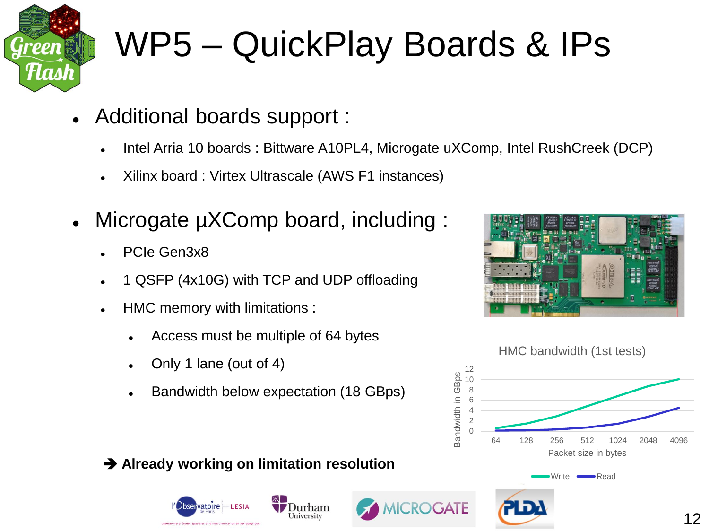

# WP5 – QuickPlay Boards & IPs

- Additional boards support :
	- Intel Arria 10 boards : Bittware A10PL4, Microgate uXComp, Intel RushCreek (DCP)
	- Xilinx board : Virtex Ultrascale (AWS F1 instances)
- Microgate  $\mu$ XComp board, including :
	- PCIe Gen3x8
	- 1 QSFP (4x10G) with TCP and UDP offloading
	- HMC memory with limitations :
		- Access must be multiple of 64 bytes
		- Only 1 lane (out of 4)
		- Bandwidth below expectation (18 GBps)





#### **Already working on limitation resolution**





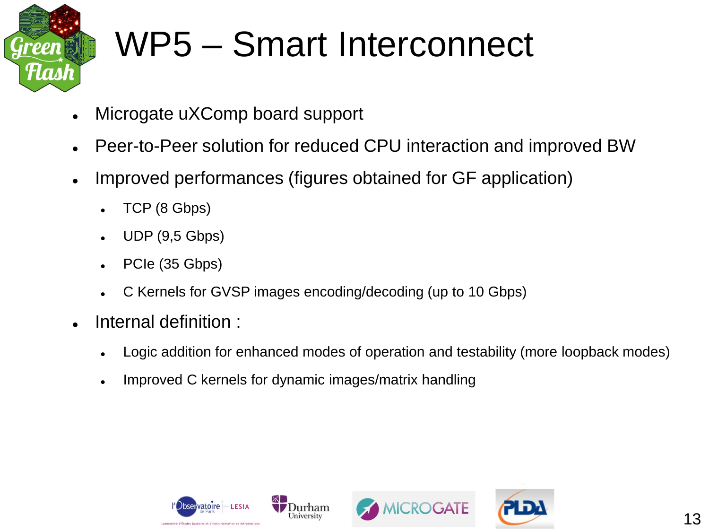

#### WP5 – Smart Interconnect

- Microgate uXComp board support
- Peer-to-Peer solution for reduced CPU interaction and improved BW
- Improved performances (figures obtained for GF application)
	- TCP (8 Gbps)
	- UDP (9,5 Gbps)
	- PCIe (35 Gbps)
	- C Kernels for GVSP images encoding/decoding (up to 10 Gbps)
- Internal definition :
	- Logic addition for enhanced modes of operation and testability (more loopback modes)
	- Improved C kernels for dynamic images/matrix handling





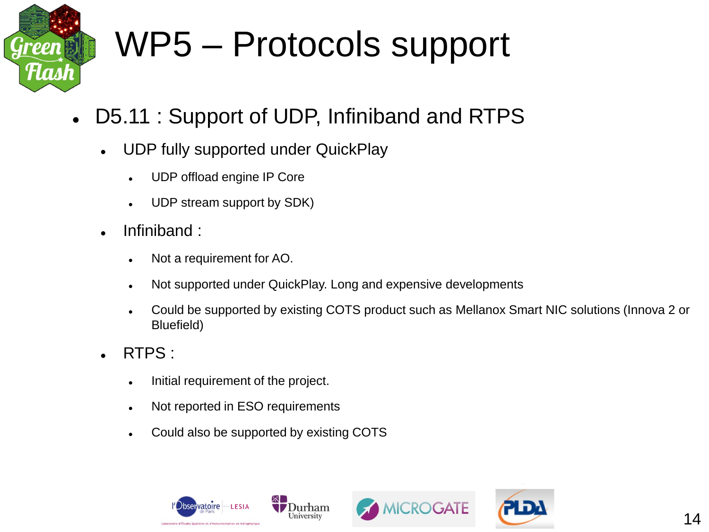

# WP5 – Protocols support

- D5.11 : Support of UDP, Infiniband and RTPS
	- UDP fully supported under QuickPlay
		- UDP offload engine IP Core
		- UDP stream support by SDK)
	- . Infiniband:
		- Not a requirement for AO.
		- Not supported under QuickPlay. Long and expensive developments

Durham

- Could be supported by existing COTS product such as Mellanox Smart NIC solutions (Innova 2 or Bluefield)
- RTPS :
	- . Initial requirement of the project.
	- Not reported in ESO requirements
	- Could also be supported by existing COTS





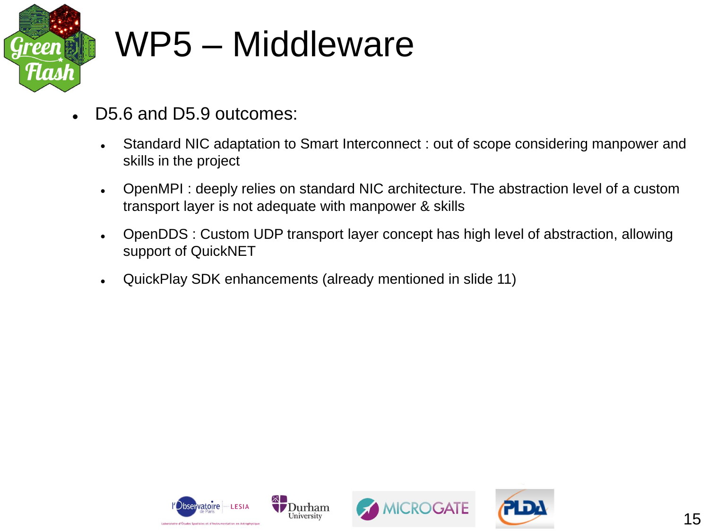

#### WP5 – Middleware

- D5.6 and D5.9 outcomes:
	- Standard NIC adaptation to Smart Interconnect : out of scope considering manpower and skills in the project
	- OpenMPI : deeply relies on standard NIC architecture. The abstraction level of a custom transport layer is not adequate with manpower & skills
	- OpenDDS : Custom UDP transport layer concept has high level of abstraction, allowing support of QuickNET
	- QuickPlay SDK enhancements (already mentioned in slide 11)





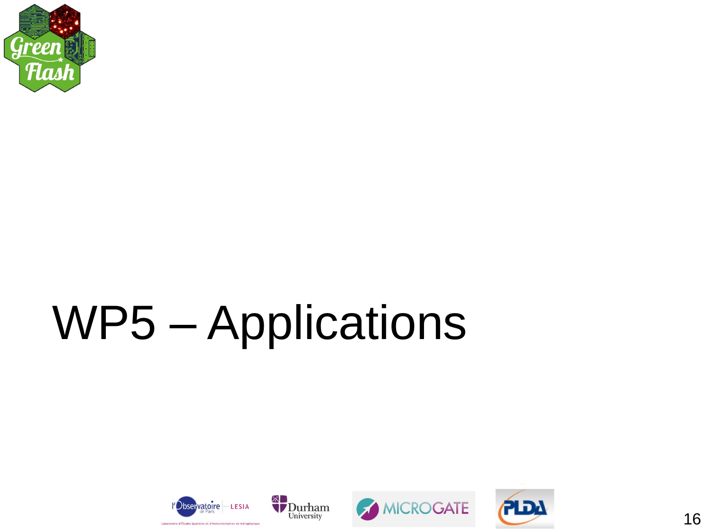

# WP5 - Applications





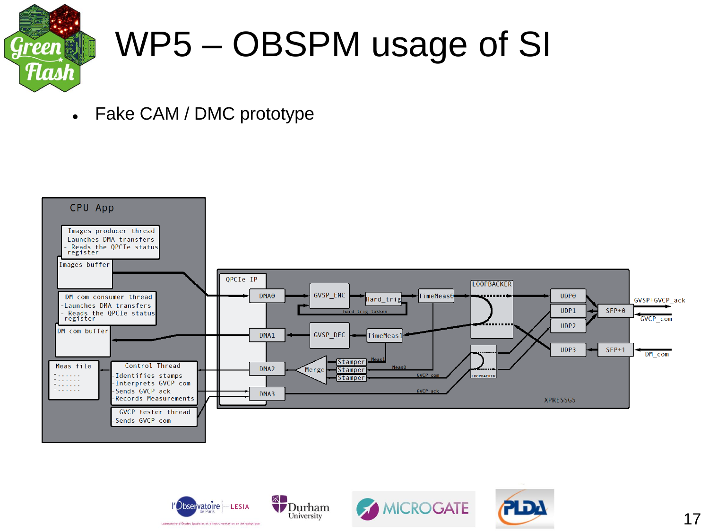

### WP5 – OBSPM usage of SI

Fake CAM / DMC prototype





University



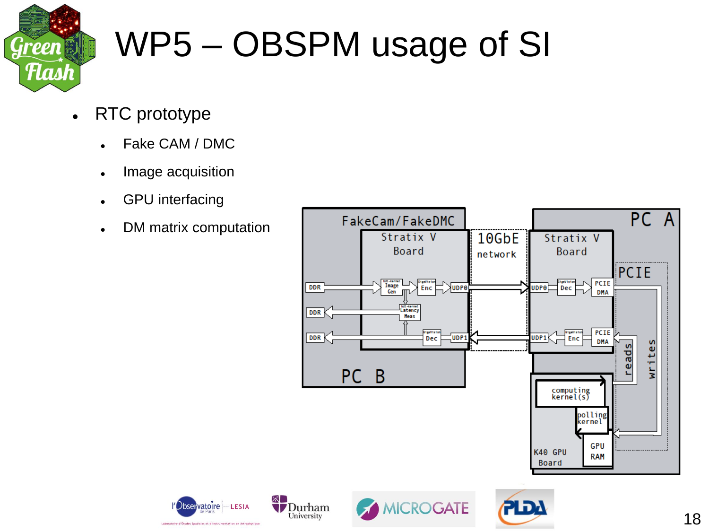

# WP5 – OBSPM usage of SI

- RTC prototype
	- Fake CAM / DMC
	- Image acquisition
	- GPU interfacing
	- DM matrix computation



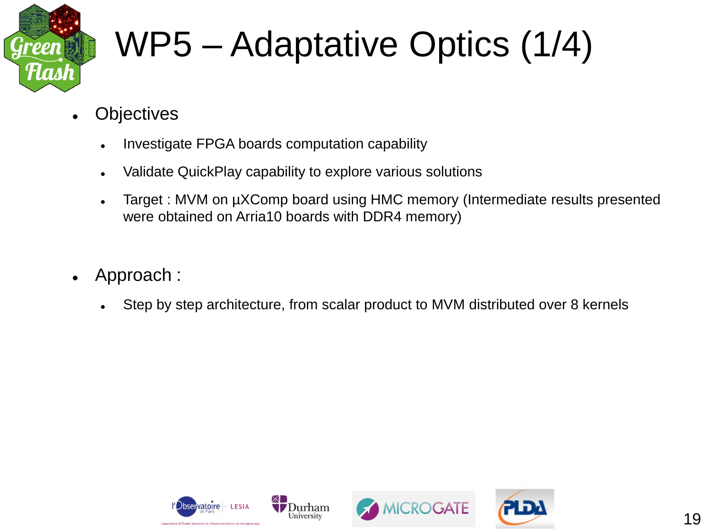

# WP5 – Adaptative Optics (1/4)

- **Objectives** 
	- Investigate FPGA boards computation capability
	- Validate QuickPlay capability to explore various solutions
	- Target : MVM on µXComp board using HMC memory (Intermediate results presented were obtained on Arria10 boards with DDR4 memory)
- Approach :
	- Step by step architecture, from scalar product to MVM distributed over 8 kernels





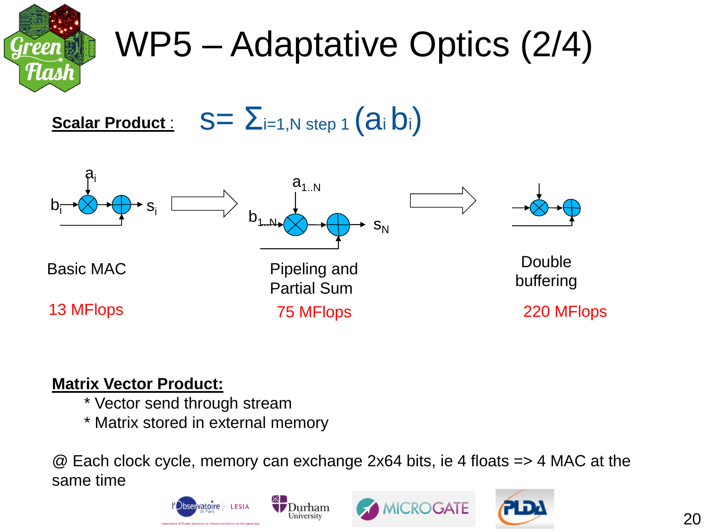

# WP5 – Adaptative Optics (2/4)

**Scalar Product :**  $S = \sum_{i=1,N \text{ step } 1} (a_i b_i)$ 



#### **Matrix Vector Product:**

- \* Vector send through stream
- \* Matrix stored in external memory

@ Each clock cycle, memory can exchange 2x64 bits, ie 4 floats => 4 MAC at the same time





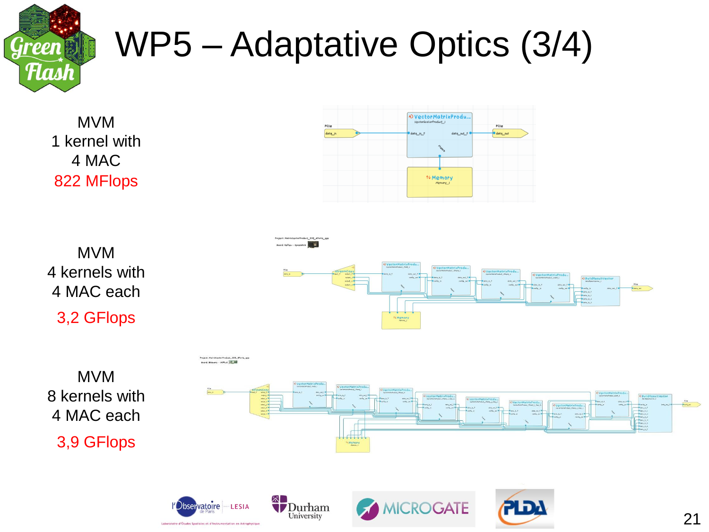

# WP5 – Adaptative Optics (3/4)

MVM 1 kernel with 4 MAC 822 MFlops





University

4 MAC each 3,9 GFlops







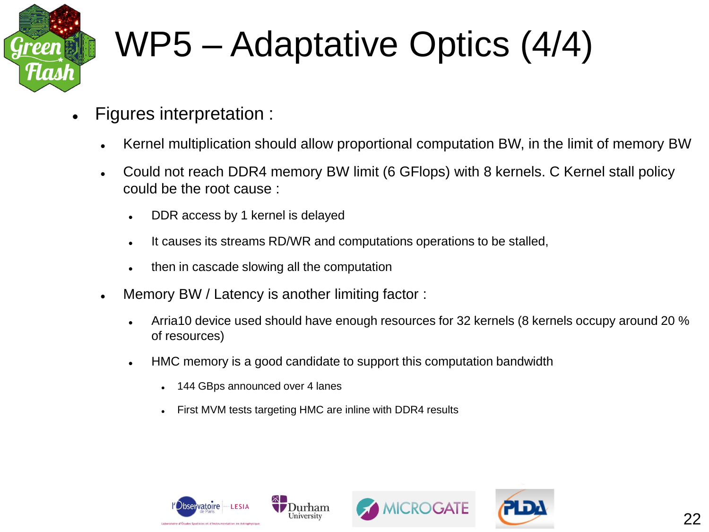

# WP5 – Adaptative Optics (4/4)

- Figures interpretation :
	- Kernel multiplication should allow proportional computation BW, in the limit of memory BW
	- Could not reach DDR4 memory BW limit (6 GFlops) with 8 kernels. C Kernel stall policy could be the root cause :
		- . DDR access by 1 kernel is delayed
		- It causes its streams RD/WR and computations operations to be stalled,
		- then in cascade slowing all the computation
	- Memory BW / Latency is another limiting factor :
		- Arria10 device used should have enough resources for 32 kernels (8 kernels occupy around 20 % of resources)
		- HMC memory is a good candidate to support this computation bandwidth
			- 144 GBps announced over 4 lanes
			- First MVM tests targeting HMC are inline with DDR4 results





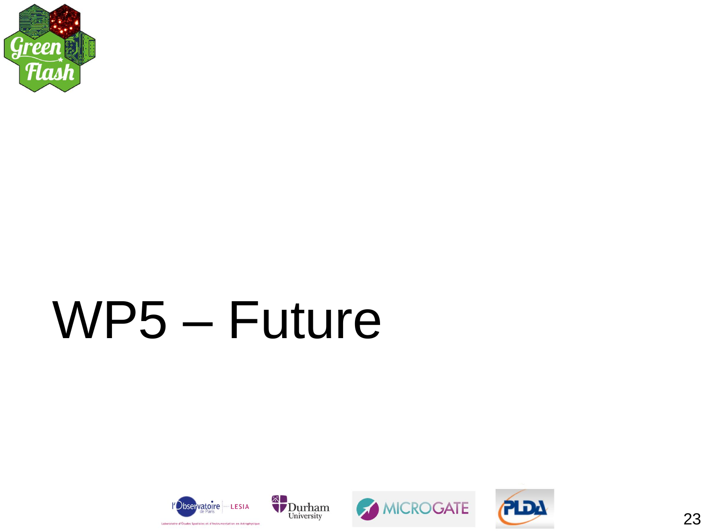

# WP5 - Future







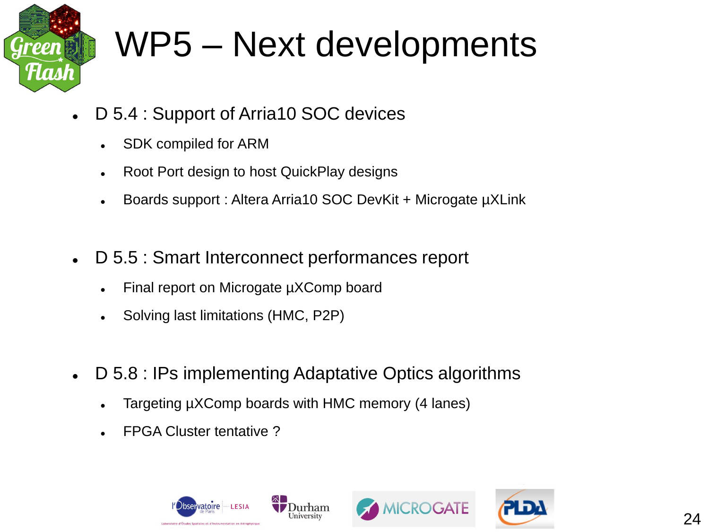

#### WP5 – Next developments

- D 5.4 : Support of Arria10 SOC devices
	- SDK compiled for ARM
	- Root Port design to host QuickPlay designs
	- Boards support : Altera Arria10 SOC DevKit + Microgate µXLink
- D 5.5 : Smart Interconnect performances report
	- Final report on Microgate µXComp board
	- Solving last limitations (HMC, P2P)
- D 5.8 : IPs implementing Adaptative Optics algorithms
	- Targeting µXComp boards with HMC memory (4 lanes)
	- FPGA Cluster tentative ?





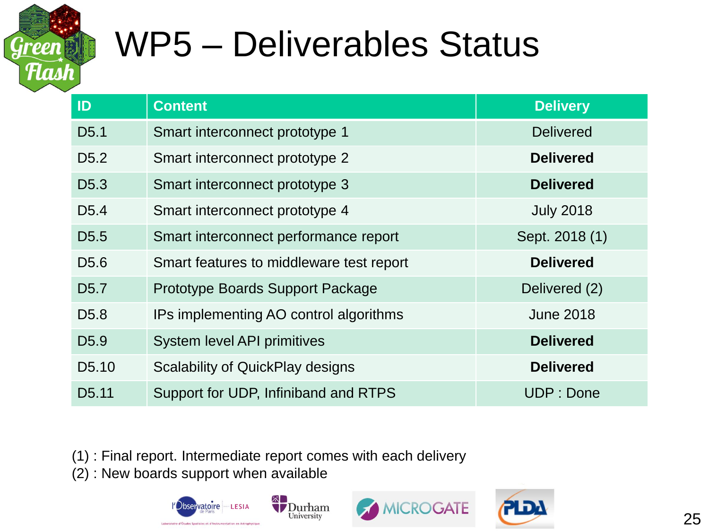

#### WP5 – Deliverables Status

| ID                 | <b>Content</b>                           | <b>Delivery</b>  |
|--------------------|------------------------------------------|------------------|
| D <sub>5.1</sub>   | Smart interconnect prototype 1           | <b>Delivered</b> |
| D <sub>5.2</sub>   | Smart interconnect prototype 2           | <b>Delivered</b> |
| D <sub>5.3</sub>   | Smart interconnect prototype 3           | <b>Delivered</b> |
| D <sub>5.4</sub>   | Smart interconnect prototype 4           | <b>July 2018</b> |
| D <sub>5.5</sub>   | Smart interconnect performance report    | Sept. 2018 (1)   |
| D <sub>5.6</sub>   | Smart features to middleware test report | <b>Delivered</b> |
| D <sub>5.7</sub>   | Prototype Boards Support Package         | Delivered (2)    |
| D <sub>5.8</sub>   | IPs implementing AO control algorithms   | <b>June 2018</b> |
| D <sub>5.9</sub>   | <b>System level API primitives</b>       | <b>Delivered</b> |
| D <sub>5</sub> .10 | <b>Scalability of QuickPlay designs</b>  | <b>Delivered</b> |
| D <sub>5.11</sub>  | Support for UDP, Infiniband and RTPS     | UDP: Done        |

(1) : Final report. Intermediate report comes with each delivery

(2) : New boards support when available